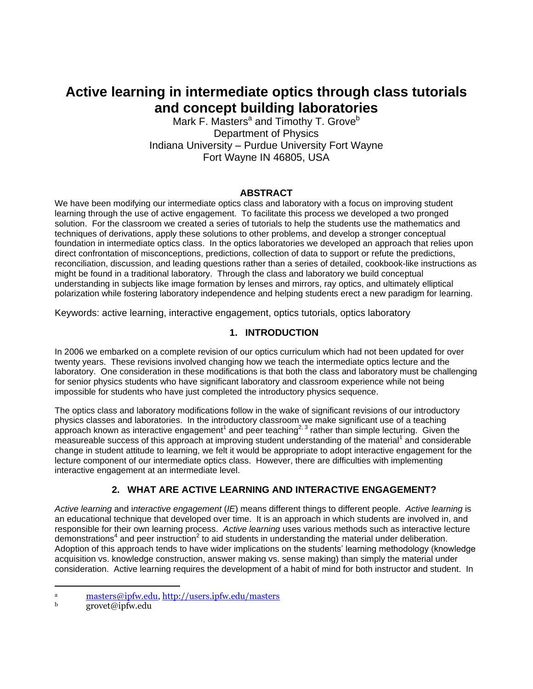# **Active learning in intermediate optics through class tutorials and concept building laboratories**

Mark F. Masters<sup>a</sup> and Timothy T. Grove<sup>b</sup> Department of Physics Indiana University – Purdue University Fort Wayne Fort Wayne IN 46805, USA

# **ABSTRACT**

We have been modifying our intermediate optics class and laboratory with a focus on improving student learning through the use of active engagement. To facilitate this process we developed a two pronged solution. For the classroom we created a series of tutorials to help the students use the mathematics and techniques of derivations, apply these solutions to other problems, and develop a stronger conceptual foundation in intermediate optics class. In the optics laboratories we developed an approach that relies upon direct confrontation of misconceptions, predictions, collection of data to support or refute the predictions, reconciliation, discussion, and leading questions rather than a series of detailed, cookbook-like instructions as might be found in a traditional laboratory. Through the class and laboratory we build conceptual understanding in subjects like image formation by lenses and mirrors, ray optics, and ultimately elliptical polarization while fostering laboratory independence and helping students erect a new paradigm for learning.

Keywords: active learning, interactive engagement, optics tutorials, optics laboratory

# **1. INTRODUCTION**

In 2006 we embarked on a complete revision of our optics curriculum which had not been updated for over twenty years. These revisions involved changing how we teach the intermediate optics lecture and the laboratory. One consideration in these modifications is that both the class and laboratory must be challenging for senior physics students who have significant laboratory and classroom experience while not being impossible for students who have just completed the introductory physics sequence.

The optics class and laboratory modifications follow in the wake of significant revisions of our introductory physics classes and laboratories. In the introductory classroom we make significant use of a teaching approach known as interactive engagement<sup>1</sup> and peer teaching<sup>2, 3</sup> rather than simple lecturing. Given the measureable success of this approach at improving student understanding of the material<sup>1</sup> and considerable change in student attitude to learning, we felt it would be appropriate to adopt interactive engagement for the lecture component of our intermediate optics class. However, there are difficulties with implementing interactive engagement at an intermediate level.

# **2. WHAT ARE ACTIVE LEARNING AND INTERACTIVE ENGAGEMENT?**

*Active learning* and i*nteractive engagement* (*IE*) means different things to different people. *Active learning* is an educational technique that developed over time. It is an approach in which students are involved in, and responsible for their own learning process. *Active learning* uses various methods such as interactive lecture demonstrations<sup>4</sup> and peer instruction<sup>2</sup> to aid students in understanding the material under deliberation. Adoption of this approach tends to have wider implications on the students' learning methodology (knowledge acquisition vs. knowledge construction, answer making vs. sense making) than simply the material under consideration. Active learning requires the development of a habit of mind for both instructor and student. In

 $\overline{a}$ 

<sup>a</sup> [masters@ipfw.edu,](mailto:masters@ipfw.edu)<http://users.ipfw.edu/masters>

grovet@ipfw.edu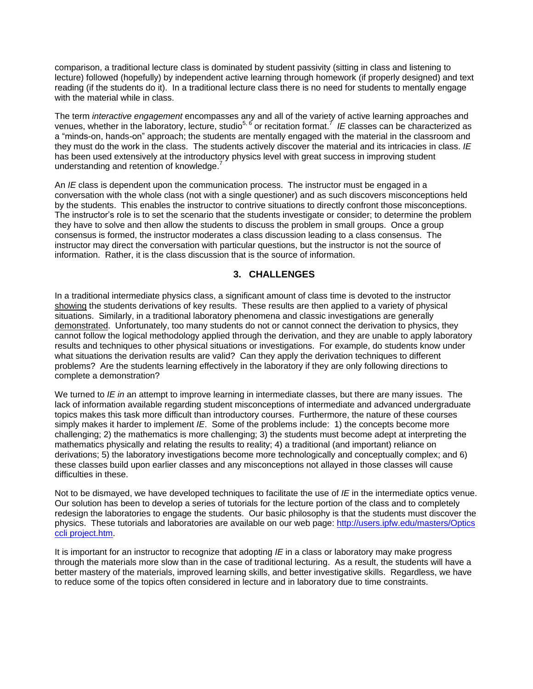comparison, a traditional lecture class is dominated by student passivity (sitting in class and listening to lecture) followed (hopefully) by independent active learning through homework (if properly designed) and text reading (if the students do it). In a traditional lecture class there is no need for students to mentally engage with the material while in class.

The term *interactive engagement* encompasses any and all of the variety of active learning approaches and venues, whether in the laboratory, lecture, studio<sup>5, 6</sup> or recitation format.<sup>7</sup> IE classes can be characterized as a "minds-on, hands-on" approach; the students are mentally engaged with the material in the classroom and they must do the work in the class. The students actively discover the material and its intricacies in class. *IE*  has been used extensively at the introductory physics level with great success in improving student understanding and retention of knowledge. $7$ 

An *IE* class is dependent upon the communication process. The instructor must be engaged in a conversation with the whole class (not with a single questioner) and as such discovers misconceptions held by the students. This enables the instructor to contrive situations to directly confront those misconceptions. The instructor's role is to set the scenario that the students investigate or consider; to determine the problem they have to solve and then allow the students to discuss the problem in small groups. Once a group consensus is formed, the instructor moderates a class discussion leading to a class consensus. The instructor may direct the conversation with particular questions, but the instructor is not the source of information. Rather, it is the class discussion that is the source of information.

# **3. CHALLENGES**

In a traditional intermediate physics class, a significant amount of class time is devoted to the instructor showing the students derivations of key results. These results are then applied to a variety of physical situations. Similarly, in a traditional laboratory phenomena and classic investigations are generally demonstrated. Unfortunately, too many students do not or cannot connect the derivation to physics, they cannot follow the logical methodology applied through the derivation, and they are unable to apply laboratory results and techniques to other physical situations or investigations. For example, do students know under what situations the derivation results are valid? Can they apply the derivation techniques to different problems? Are the students learning effectively in the laboratory if they are only following directions to complete a demonstration?

We turned to *IE in* an attempt to improve learning in intermediate classes, but there are many issues. The lack of information available regarding student misconceptions of intermediate and advanced undergraduate topics makes this task more difficult than introductory courses. Furthermore, the nature of these courses simply makes it harder to implement *IE*. Some of the problems include:1) the concepts become more challenging; 2) the mathematics is more challenging; 3) the students must become adept at interpreting the mathematics physically and relating the results to reality; 4) a traditional (and important) reliance on derivations; 5) the laboratory investigations become more technologically and conceptually complex; and 6) these classes build upon earlier classes and any misconceptions not allayed in those classes will cause difficulties in these.

Not to be dismayed, we have developed techniques to facilitate the use of *IE* in the intermediate optics venue. Our solution has been to develop a series of tutorials for the lecture portion of the class and to completely redesign the laboratories to engage the students. Our basic philosophy is that the students must discover the physics. These tutorials and laboratories are available on our web page: [http://users.ipfw.edu/masters/Optics](http://users.ipfw.edu/masters/Optics%20ccli%20project.htm)  [ccli project.htm.](http://users.ipfw.edu/masters/Optics%20ccli%20project.htm)

It is important for an instructor to recognize that adopting *IE* in a class or laboratory may make progress through the materials more slow than in the case of traditional lecturing. As a result, the students will have a better mastery of the materials, improved learning skills, and better investigative skills. Regardless, we have to reduce some of the topics often considered in lecture and in laboratory due to time constraints.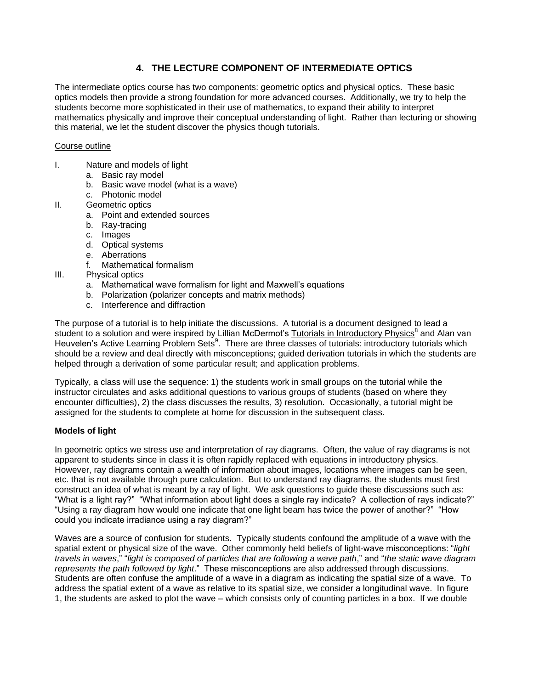# **4. THE LECTURE COMPONENT OF INTERMEDIATE OPTICS**

The intermediate optics course has two components: geometric optics and physical optics. These basic optics models then provide a strong foundation for more advanced courses. Additionally, we try to help the students become more sophisticated in their use of mathematics, to expand their ability to interpret mathematics physically and improve their conceptual understanding of light. Rather than lecturing or showing this material, we let the student discover the physics though tutorials.

#### Course outline

- I. Nature and models of light
	- a. Basic ray model
	- b. Basic wave model (what is a wave)
	- c. Photonic model
- II. Geometric optics
	- a. Point and extended sources
	- b. Ray-tracing
	- c. Images
	- d. Optical systems
	- e. Aberrations
	- f. Mathematical formalism
- III. Physical optics
	- a. Mathematical wave formalism for light and Maxwell's equations
	- b. Polarization (polarizer concepts and matrix methods)
	- c. Interference and diffraction

The purpose of a tutorial is to help initiate the discussions. A tutorial is a document designed to lead a student to a solution and were inspired by Lillian McDermot's Tutorials in Introductory Physics<sup>8</sup> and Alan van Heuvelen's Active Learning Problem Sets<sup>9</sup>. There are three classes of tutorials: introductory tutorials which should be a review and deal directly with misconceptions; guided derivation tutorials in which the students are helped through a derivation of some particular result; and application problems.

Typically, a class will use the sequence: 1) the students work in small groups on the tutorial while the instructor circulates and asks additional questions to various groups of students (based on where they encounter difficulties), 2) the class discusses the results, 3) resolution. Occasionally, a tutorial might be assigned for the students to complete at home for discussion in the subsequent class.

# **Models of light**

In geometric optics we stress use and interpretation of ray diagrams. Often, the value of ray diagrams is not apparent to students since in class it is often rapidly replaced with equations in introductory physics. However, ray diagrams contain a wealth of information about images, locations where images can be seen, etc. that is not available through pure calculation. But to understand ray diagrams, the students must first construct an idea of what is meant by a ray of light. We ask questions to guide these discussions such as: "What is a light ray?" "What information about light does a single ray indicate? A collection of rays indicate?" "Using a ray diagram how would one indicate that one light beam has twice the power of another?" "How could you indicate irradiance using a ray diagram?"

Waves are a source of confusion for students. Typically students confound the amplitude of a wave with the spatial extent or physical size of the wave. Other commonly held beliefs of light-wave misconceptions: "*light travels in waves*," "*light is composed of particles that are following a wave path*," and "*the static wave diagram represents the path followed by light*." These misconceptions are also addressed through discussions. Students are often confuse the amplitude of a wave in a diagram as indicating the spatial size of a wave. To address the spatial extent of a wave as relative to its spatial size, we consider a longitudinal wave. In figure 1, the students are asked to plot the wave – which consists only of counting particles in a box. If we double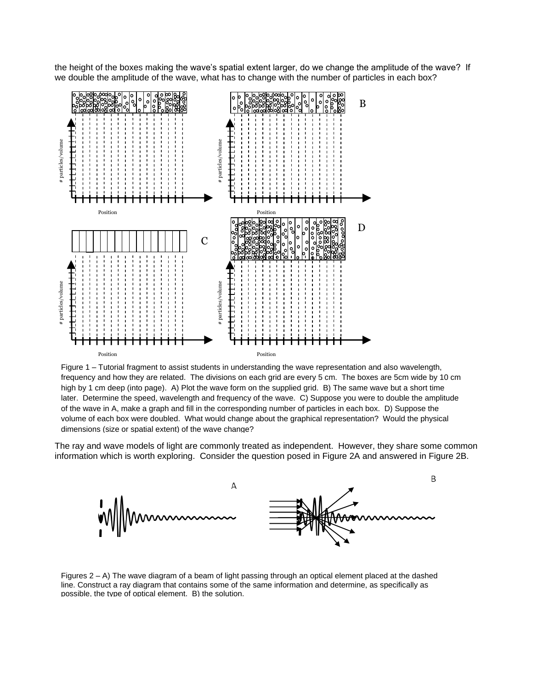the height of the boxes making the wave's spatial extent larger, do we change the amplitude of the wave? If we double the amplitude of the wave, what has to change with the number of particles in each box?



Figure 1 – Tutorial fragment to assist students in understanding the wave representation and also wavelength, frequency and how they are related. The divisions on each grid are every 5 cm. The boxes are 5cm wide by 10 cm high by 1 cm deep (into page). A) Plot the wave form on the supplied grid. B) The same wave but a short time later. Determine the speed, wavelength and frequency of the wave. C) Suppose you were to double the amplitude of the wave in A, make a graph and fill in the corresponding number of particles in each box. D) Suppose the volume of each box were doubled. What would change about the graphical representation? Would the physical dimensions (size or spatial extent) of the wave change?

The ray and wave models of light are commonly treated as independent. However, they share some common information which is worth exploring. Consider the question posed in Figure 2A and answered in Figure 2B.



Figures 2 – A) The wave diagram of a beam of light passing through an optical element placed at the dashed line. Construct a ray diagram that contains some of the same information and determine, as specifically as possible, the type of optical element. B) the solution.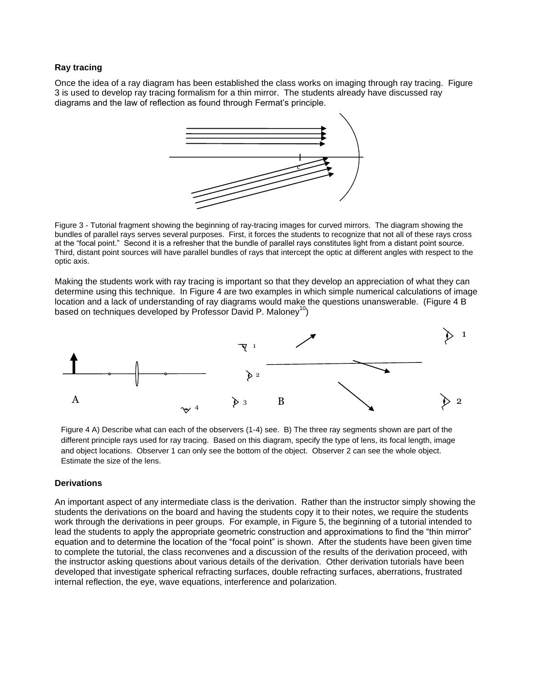#### **Ray tracing**

Once the idea of a ray diagram has been established the class works on imaging through ray tracing. Figure 3 is used to develop ray tracing formalism for a thin mirror. The students already have discussed ray diagrams and the law of reflection as found through Fermat's principle.



Figure 3 - Tutorial fragment showing the beginning of ray-tracing images for curved mirrors. The diagram showing the bundles of parallel rays serves several purposes. First, it forces the students to recognize that not all of these rays cross at the "focal point." Second it is a refresher that the bundle of parallel rays constitutes light from a distant point source. Third, distant point sources will have parallel bundles of rays that intercept the optic at different angles with respect to the optic axis.

Making the students work with ray tracing is important so that they develop an appreciation of what they can determine using this technique. In Figure 4 are two examples in which simple numerical calculations of image location and a lack of understanding of ray diagrams would make the questions unanswerable. (Figure 4 B based on techniques developed by Professor David P. Maloney<sup>10</sup>)



Figure 4 A) Describe what can each of the observers (1-4) see. B) The three ray segments shown are part of the different principle rays used for ray tracing. Based on this diagram, specify the type of lens, its focal length, image and object locations. Observer 1 can only see the bottom of the object. Observer 2 can see the whole object. Estimate the size of the lens.

#### **Derivations**

An important aspect of any intermediate class is the derivation. Rather than the instructor simply showing the students the derivations on the board and having the students copy it to their notes, we require the students work through the derivations in peer groups. For example, in Figure 5, the beginning of a tutorial intended to lead the students to apply the appropriate geometric construction and approximations to find the "thin mirror" equation and to determine the location of the "focal point" is shown. After the students have been given time to complete the tutorial, the class reconvenes and a discussion of the results of the derivation proceed, with the instructor asking questions about various details of the derivation. Other derivation tutorials have been developed that investigate spherical refracting surfaces, double refracting surfaces, aberrations, frustrated internal reflection, the eye, wave equations, interference and polarization.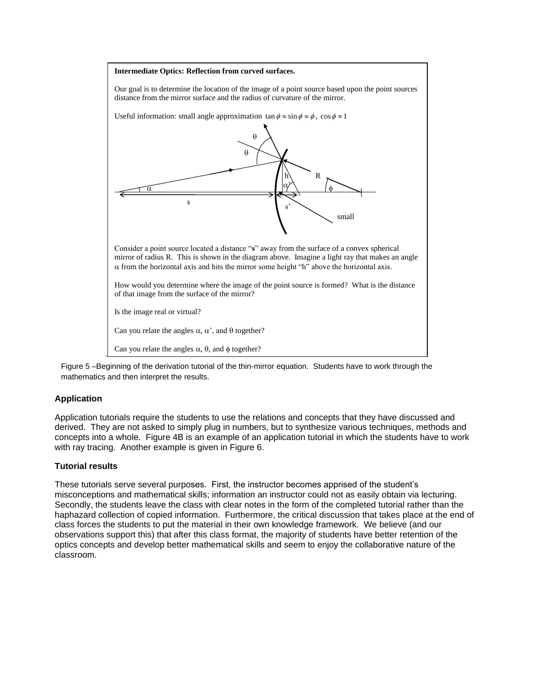



# **Application**

Application tutorials require the students to use the relations and concepts that they have discussed and derived. They are not asked to simply plug in numbers, but to synthesize various techniques, methods and concepts into a whole. Figure 4B is an example of an application tutorial in which the students have to work with ray tracing. Another example is given in Figure 6.

#### **Tutorial results**

These tutorials serve several purposes. First, the instructor becomes apprised of the student's misconceptions and mathematical skills; information an instructor could not as easily obtain via lecturing. Secondly, the students leave the class with clear notes in the form of the completed tutorial rather than the haphazard collection of copied information. Furthermore, the critical discussion that takes place at the end of class forces the students to put the material in their own knowledge framework. We believe (and our observations support this) that after this class format, the majority of students have better retention of the optics concepts and develop better mathematical skills and seem to enjoy the collaborative nature of the classroom.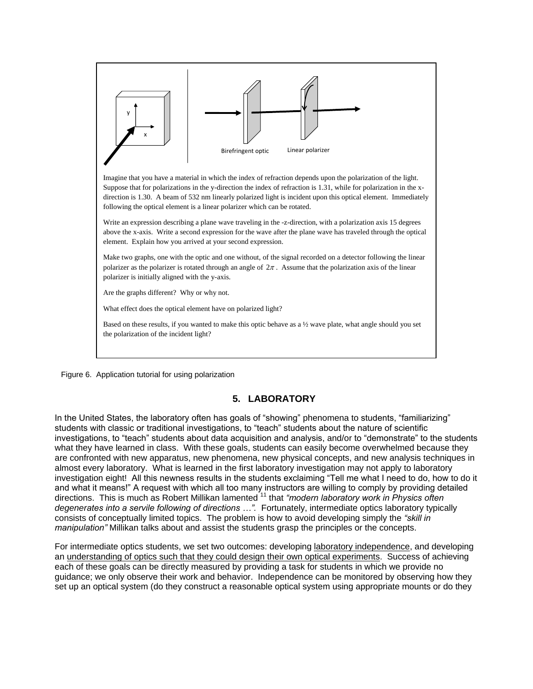

Figure 6. Application tutorial for using polarization

# **5. LABORATORY**

In the United States, the laboratory often has goals of "showing" phenomena to students, "familiarizing" students with classic or traditional investigations, to "teach" students about the nature of scientific investigations, to "teach" students about data acquisition and analysis, and/or to "demonstrate" to the students what they have learned in class. With these goals, students can easily become overwhelmed because they are confronted with new apparatus, new phenomena, new physical concepts, and new analysis techniques in almost every laboratory. What is learned in the first laboratory investigation may not apply to laboratory investigation eight! All this newness results in the students exclaiming "Tell me what I need to do, how to do it and what it means!" A request with which all too many instructors are willing to comply by providing detailed directions. This is much as Robert Millikan lamented<sup>11</sup> that "modern laboratory work in Physics often *degenerates into a servile following of directions …".* Fortunately, intermediate optics laboratory typically consists of conceptually limited topics. The problem is how to avoid developing simply the *"skill in manipulation"* Millikan talks about and assist the students grasp the principles or the concepts.

For intermediate optics students, we set two outcomes: developing laboratory independence, and developing an understanding of optics such that they could design their own optical experiments. Success of achieving each of these goals can be directly measured by providing a task for students in which we provide no guidance; we only observe their work and behavior. Independence can be monitored by observing how they set up an optical system (do they construct a reasonable optical system using appropriate mounts or do they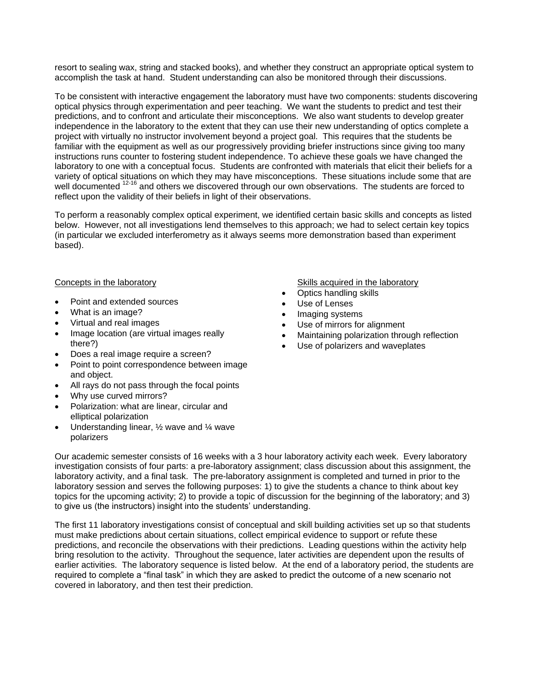resort to sealing wax, string and stacked books), and whether they construct an appropriate optical system to accomplish the task at hand. Student understanding can also be monitored through their discussions.

To be consistent with interactive engagement the laboratory must have two components: students discovering optical physics through experimentation and peer teaching. We want the students to predict and test their predictions, and to confront and articulate their misconceptions. We also want students to develop greater independence in the laboratory to the extent that they can use their new understanding of optics complete a project with virtually no instructor involvement beyond a project goal. This requires that the students be familiar with the equipment as well as our progressively providing briefer instructions since giving too many instructions runs counter to fostering student independence. To achieve these goals we have changed the laboratory to one with a conceptual focus. Students are confronted with materials that elicit their beliefs for a variety of optical situations on which they may have misconceptions. These situations include some that are well documented <sup>12-16</sup> and others we discovered through our own observations. The students are forced to reflect upon the validity of their beliefs in light of their observations.

To perform a reasonably complex optical experiment, we identified certain basic skills and concepts as listed below. However, not all investigations lend themselves to this approach; we had to select certain key topics (in particular we excluded interferometry as it always seems more demonstration based than experiment based).

#### Concepts in the laboratory

- Point and extended sources
- What is an image?
- Virtual and real images
- Image location (are virtual images really there?)
- Does a real image require a screen?
- Point to point correspondence between image and object.
- All rays do not pass through the focal points
- Why use curved mirrors?
- Polarization: what are linear, circular and elliptical polarization
- Understanding linear, ½ wave and ¼ wave polarizers

Skills acquired in the laboratory

- Optics handling skills
- Use of Lenses
- Imaging systems
- Use of mirrors for alignment
- Maintaining polarization through reflection
- Use of polarizers and waveplates

Our academic semester consists of 16 weeks with a 3 hour laboratory activity each week. Every laboratory investigation consists of four parts: a pre-laboratory assignment; class discussion about this assignment, the laboratory activity, and a final task. The pre-laboratory assignment is completed and turned in prior to the laboratory session and serves the following purposes: 1) to give the students a chance to think about key topics for the upcoming activity; 2) to provide a topic of discussion for the beginning of the laboratory; and 3) to give us (the instructors) insight into the students' understanding.

The first 11 laboratory investigations consist of conceptual and skill building activities set up so that students must make predictions about certain situations, collect empirical evidence to support or refute these predictions, and reconcile the observations with their predictions. Leading questions within the activity help bring resolution to the activity. Throughout the sequence, later activities are dependent upon the results of earlier activities. The laboratory sequence is listed below. At the end of a laboratory period, the students are required to complete a "final task" in which they are asked to predict the outcome of a new scenario not covered in laboratory, and then test their prediction.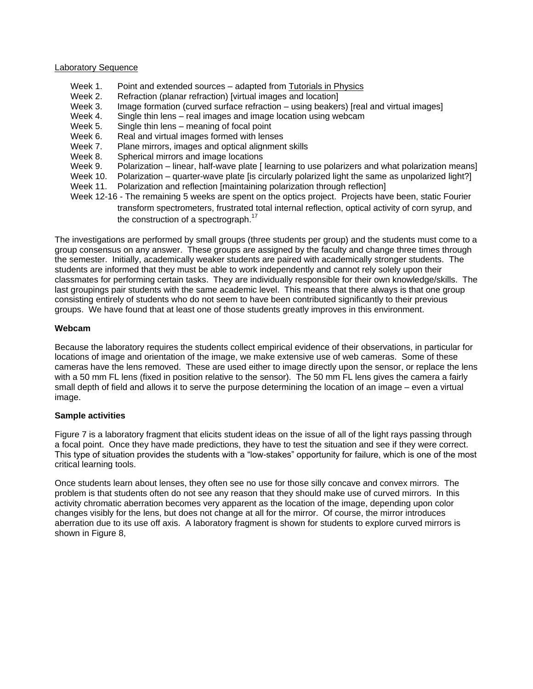#### Laboratory Sequence

- Week 1. Point and extended sources adapted from Tutorials in Physics
- Week 2. Refraction (planar refraction) [virtual images and location]
- Week 3. Image formation (curved surface refraction using beakers) [real and virtual images]<br>Week 4. Single thin lens real images and image location using webcam
- Single thin lens real images and image location using webcam
- Week 5. Single thin lens meaning of focal point
- Week 6. Real and virtual images formed with lenses<br>Week 7. Plane mirrors, images and optical alignment
- Plane mirrors, images and optical alignment skills
- Week 8. Spherical mirrors and image locations
- Week 9. Polarization linear, half-wave plate [ learning to use polarizers and what polarization means]
- Week 10. Polarization quarter-wave plate [is circularly polarized light the same as unpolarized light?]
- Week 11. Polarization and reflection [maintaining polarization through reflection]
- Week 12-16 The remaining 5 weeks are spent on the optics project. Projects have been, static Fourier transform spectrometers, frustrated total internal reflection, optical activity of corn syrup, and the construction of a spectrograph.<sup>17</sup>

The investigations are performed by small groups (three students per group) and the students must come to a group consensus on any answer. These groups are assigned by the faculty and change three times through the semester. Initially, academically weaker students are paired with academically stronger students. The students are informed that they must be able to work independently and cannot rely solely upon their classmates for performing certain tasks. They are individually responsible for their own knowledge/skills. The last groupings pair students with the same academic level. This means that there always is that one group consisting entirely of students who do not seem to have been contributed significantly to their previous groups. We have found that at least one of those students greatly improves in this environment.

# **Webcam**

Because the laboratory requires the students collect empirical evidence of their observations, in particular for locations of image and orientation of the image, we make extensive use of web cameras. Some of these cameras have the lens removed. These are used either to image directly upon the sensor, or replace the lens with a 50 mm FL lens (fixed in position relative to the sensor). The 50 mm FL lens gives the camera a fairly small depth of field and allows it to serve the purpose determining the location of an image – even a virtual image.

# **Sample activities**

Figure 7 is a laboratory fragment that elicits student ideas on the issue of all of the light rays passing through a focal point. Once they have made predictions, they have to test the situation and see if they were correct. This type of situation provides the students with a "low-stakes" opportunity for failure, which is one of the most critical learning tools.

Once students learn about lenses, they often see no use for those silly concave and convex mirrors. The problem is that students often do not see any reason that they should make use of curved mirrors. In this activity chromatic aberration becomes very apparent as the location of the image, depending upon color changes visibly for the lens, but does not change at all for the mirror. Of course, the mirror introduces aberration due to its use off axis. A laboratory fragment is shown for students to explore curved mirrors is shown in Figure 8,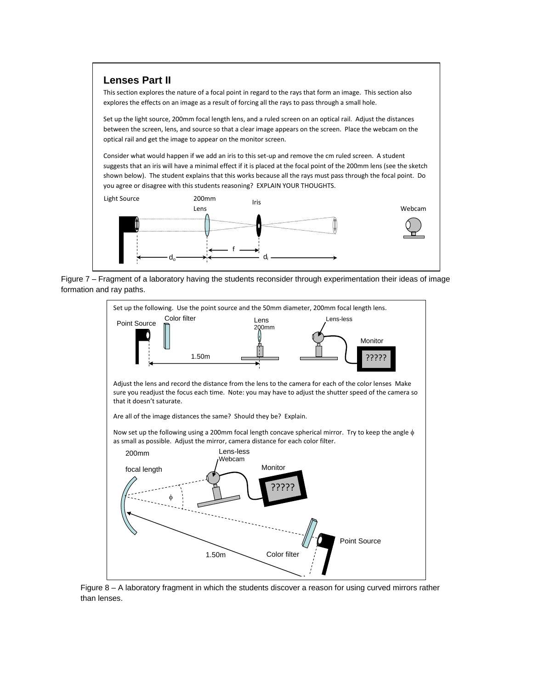

Figure 7 – Fragment of a laboratory having the students reconsider through experimentation their ideas of image formation and ray paths.



Figure 8 – A laboratory fragment in which the students discover a reason for using curved mirrors rather than lenses.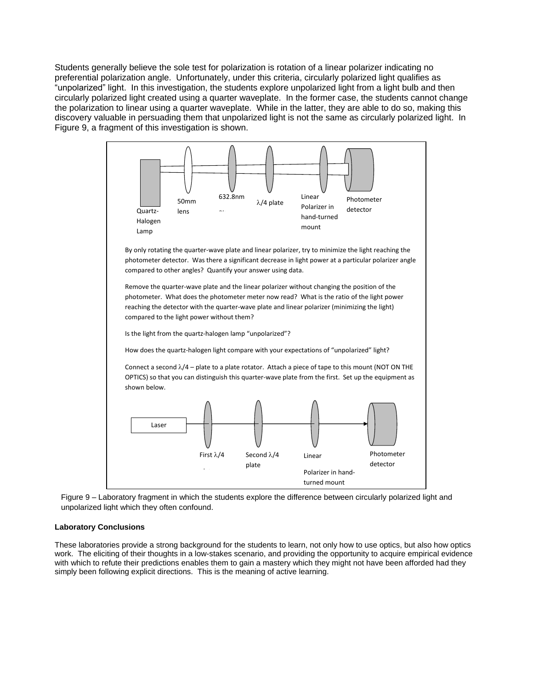Students generally believe the sole test for polarization is rotation of a linear polarizer indicating no preferential polarization angle. Unfortunately, under this criteria, circularly polarized light qualifies as "unpolarized" light. In this investigation, the students explore unpolarized light from a light bulb and then circularly polarized light created using a quarter waveplate. In the former case, the students cannot change the polarization to linear using a quarter waveplate. While in the latter, they are able to do so, making this discovery valuable in persuading them that unpolarized light is not the same as circularly polarized light. In Figure 9, a fragment of this investigation is shown.





#### **Laboratory Conclusions**

These laboratories provide a strong background for the students to learn, not only how to use optics, but also how optics work. The eliciting of their thoughts in a low-stakes scenario, and providing the opportunity to acquire empirical evidence with which to refute their predictions enables them to gain a mastery which they might not have been afforded had they simply been following explicit directions. This is the meaning of active learning.